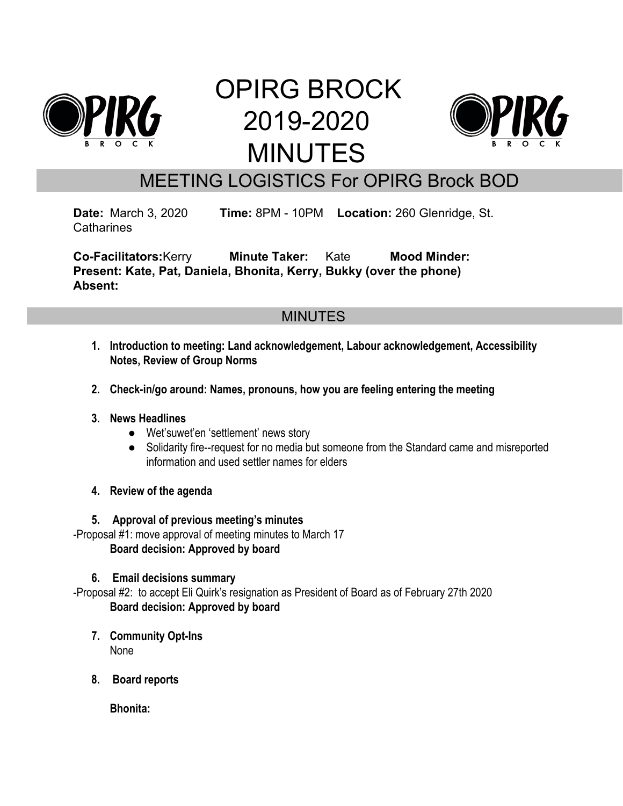

# OPIRG BROCK 2019-2020 MINUTES



# MEETING LOGISTICS For OPIRG Brock BOD

**Date:** March 3, 2020 **Time:** 8PM - 10PM **Location:** 260 Glenridge, St. **Catharines** 

**Co-Facilitators:**Kerry **Minute Taker:** Kate **Mood Minder: Present: Kate, Pat, Daniela, Bhonita, Kerry, Bukky (over the phone) Absent:**

# MINUTES

- **1. Introduction to meeting: Land acknowledgement, Labour acknowledgement, Accessibility Notes, Review of Group Norms**
- **2. Check-in/go around: Names, pronouns, how you are feeling entering the meeting**

# **3. News Headlines**

- Wet'suwet'en 'settlement' news story
- Solidarity fire--request for no media but someone from the Standard came and misreported information and used settler names for elders
- **4. Review of the agenda**

# **5. Approval of previous meeting's minutes**

-Proposal #1: move approval of meeting minutes to March 17 **Board decision: Approved by board**

# **6. Email decisions summary**

-Proposal #2: to accept Eli Quirk's resignation as President of Board as of February 27th 2020 **Board decision: Approved by board**

- **7. Community Opt-Ins** None
- **8. Board reports**

**Bhonita:**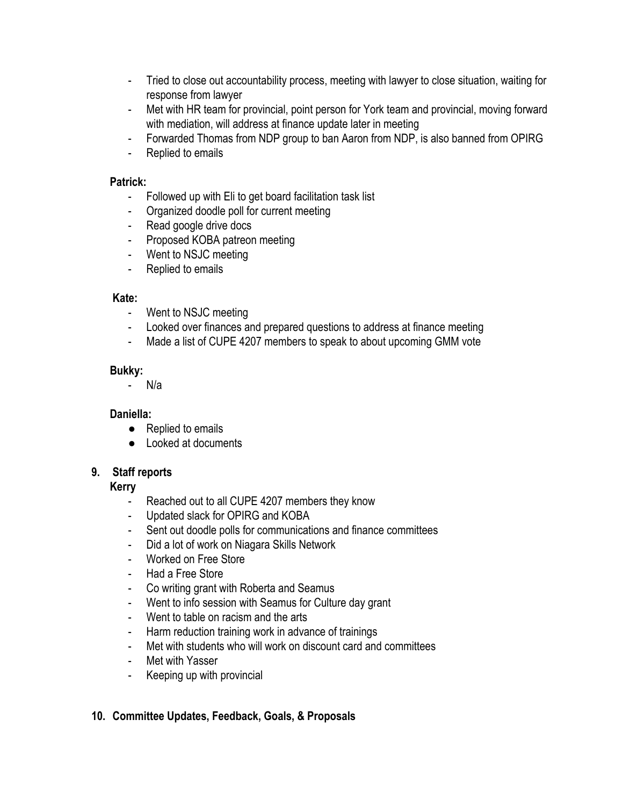- Tried to close out accountability process, meeting with lawyer to close situation, waiting for response from lawyer
- Met with HR team for provincial, point person for York team and provincial, moving forward with mediation, will address at finance update later in meeting
- Forwarded Thomas from NDP group to ban Aaron from NDP, is also banned from OPIRG
- Replied to emails

#### **Patrick:**

- Followed up with Eli to get board facilitation task list
- Organized doodle poll for current meeting
- Read google drive docs
- Proposed KOBA patreon meeting
- Went to NSJC meeting
- Replied to emails

# **Kate:**

- Went to NSJC meeting
- Looked over finances and prepared questions to address at finance meeting
- Made a list of CUPE 4207 members to speak to about upcoming GMM vote

# **Bukky:**

- N/a

# **Daniella:**

- Replied to emails
- Looked at documents

# **9. Staff reports**

# **Kerry**

- Reached out to all CUPE 4207 members they know
- Updated slack for OPIRG and KOBA
- Sent out doodle polls for communications and finance committees
- Did a lot of work on Niagara Skills Network
- Worked on Free Store
- Had a Free Store
- Co writing grant with Roberta and Seamus
- Went to info session with Seamus for Culture day grant
- Went to table on racism and the arts
- Harm reduction training work in advance of trainings
- Met with students who will work on discount card and committees
- Met with Yasser
- Keeping up with provincial

# **10. Committee Updates, Feedback, Goals, & Proposals**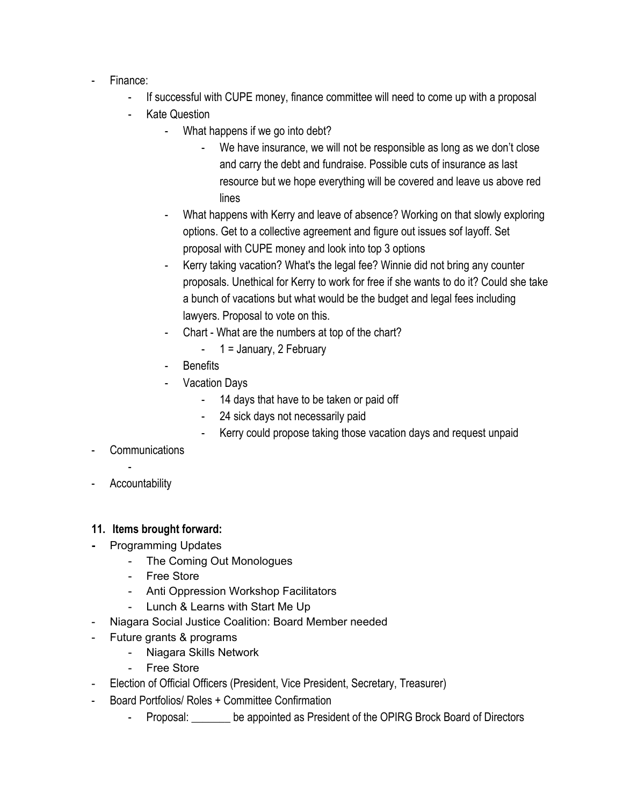- Finance:
	- If successful with CUPE money, finance committee will need to come up with a proposal
	- Kate Question
		- What happens if we go into debt?
			- We have insurance, we will not be responsible as long as we don't close and carry the debt and fundraise. Possible cuts of insurance as last resource but we hope everything will be covered and leave us above red lines
		- What happens with Kerry and leave of absence? Working on that slowly exploring options. Get to a collective agreement and figure out issues sof layoff. Set proposal with CUPE money and look into top 3 options
		- Kerry taking vacation? What's the legal fee? Winnie did not bring any counter proposals. Unethical for Kerry to work for free if she wants to do it? Could she take a bunch of vacations but what would be the budget and legal fees including lawyers. Proposal to vote on this.
		- Chart What are the numbers at top of the chart?
			- $1$  = January, 2 February
		- **Benefits**
		- **Vacation Days** 
			- 14 days that have to be taken or paid off
			- 24 sick days not necessarily paid
			- Kerry could propose taking those vacation days and request unpaid
- **Communications**
- **Accountability**

# **11. Items brought forward:**

- **-** Programming Updates
	- The Coming Out Monologues
	- Free Store
	- Anti Oppression Workshop Facilitators
	- Lunch & Learns with Start Me Up
- Niagara Social Justice Coalition: Board Member needed
- Future grants & programs
	- Niagara Skills Network
	- Free Store
- Election of Official Officers (President, Vice President, Secretary, Treasurer)
- Board Portfolios/ Roles + Committee Confirmation
	- Proposal: be appointed as President of the OPIRG Brock Board of Directors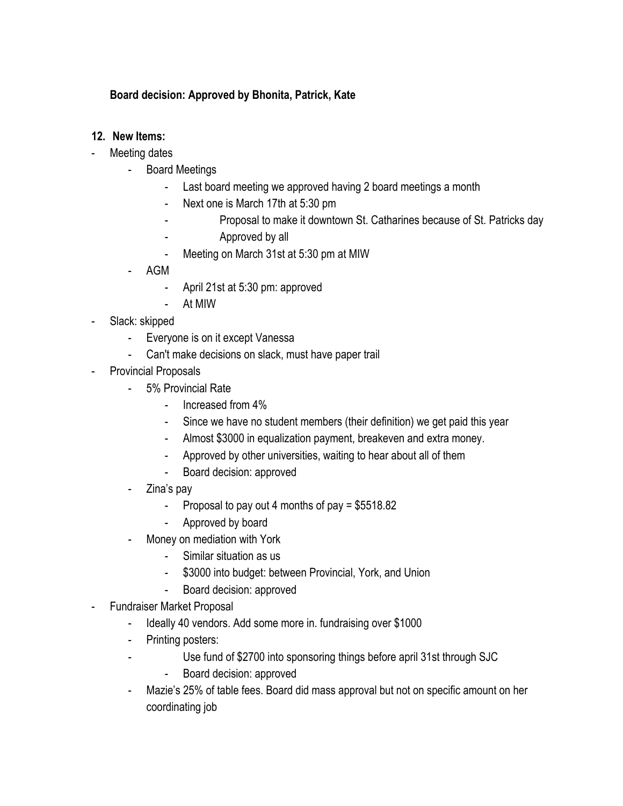# **Board decision: Approved by Bhonita, Patrick, Kate**

# **12. New Items:**

- Meeting dates
	- Board Meetings
		- Last board meeting we approved having 2 board meetings a month
		- Next one is March 17th at 5:30 pm
			- Proposal to make it downtown St. Catharines because of St. Patricks day
		- Approved by all
		- Meeting on March 31st at 5:30 pm at MIW
	- AGM
		- April 21st at 5:30 pm: approved
		- At MIW
- Slack: skipped
	- Everyone is on it except Vanessa
	- Can't make decisions on slack, must have paper trail
- Provincial Proposals
	- 5% Provincial Rate
		- Increased from 4%
		- Since we have no student members (their definition) we get paid this year
		- Almost \$3000 in equalization payment, breakeven and extra money.
		- Approved by other universities, waiting to hear about all of them
		- Board decision: approved
	- Zina's pay
		- Proposal to pay out 4 months of pay  $= $5518.82$
		- Approved by board
	- Money on mediation with York
		- Similar situation as us
		- \$3000 into budget: between Provincial, York, and Union
		- Board decision: approved
- Fundraiser Market Proposal
	- Ideally 40 vendors. Add some more in. fundraising over \$1000
	- Printing posters:
	- Use fund of \$2700 into sponsoring things before april 31st through SJC
		- Board decision: approved
	- Mazie's 25% of table fees. Board did mass approval but not on specific amount on her coordinating job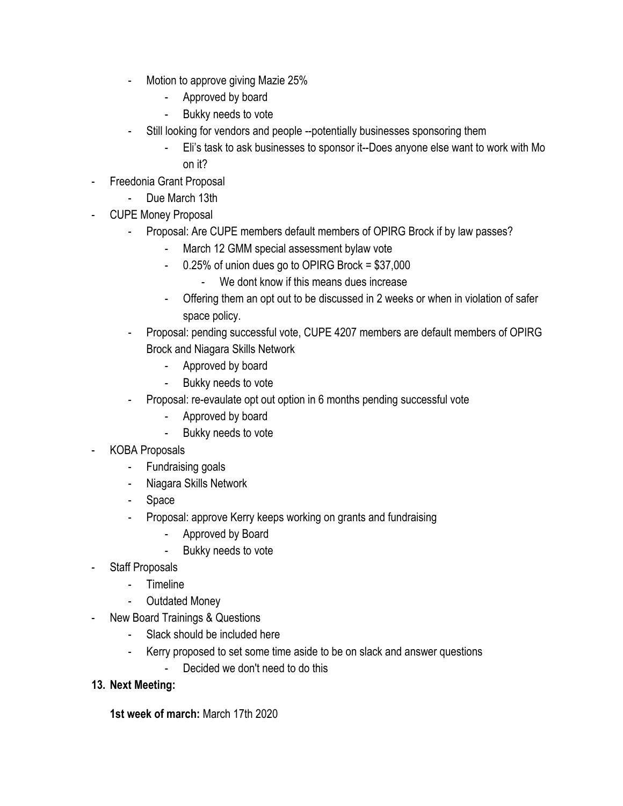- Motion to approve giving Mazie 25%
	- Approved by board
	- Bukky needs to vote
- Still looking for vendors and people --potentially businesses sponsoring them
	- Eli's task to ask businesses to sponsor it--Does anyone else want to work with Mo on it?
- Freedonia Grant Proposal
	- Due March 13th
- CUPE Money Proposal
	- Proposal: Are CUPE members default members of OPIRG Brock if by law passes?
		- March 12 GMM special assessment bylaw vote
		- 0.25% of union dues go to OPIRG Brock = \$37,000
			- We dont know if this means dues increase
		- Offering them an opt out to be discussed in 2 weeks or when in violation of safer space policy.
	- Proposal: pending successful vote, CUPE 4207 members are default members of OPIRG Brock and Niagara Skills Network
		- Approved by board
		- Bukky needs to vote
	- Proposal: re-evaulate opt out option in 6 months pending successful vote
		- Approved by board
		- Bukky needs to vote
- KOBA Proposals
	- Fundraising goals
	- Niagara Skills Network
	- Space
	- Proposal: approve Kerry keeps working on grants and fundraising
		- Approved by Board
		- Bukky needs to vote
- Staff Proposals
	- Timeline
	- Outdated Money
- New Board Trainings & Questions
	- Slack should be included here
	- Kerry proposed to set some time aside to be on slack and answer questions
		- Decided we don't need to do this
- **13. Next Meeting:**

**1st week of march:** March 17th 2020